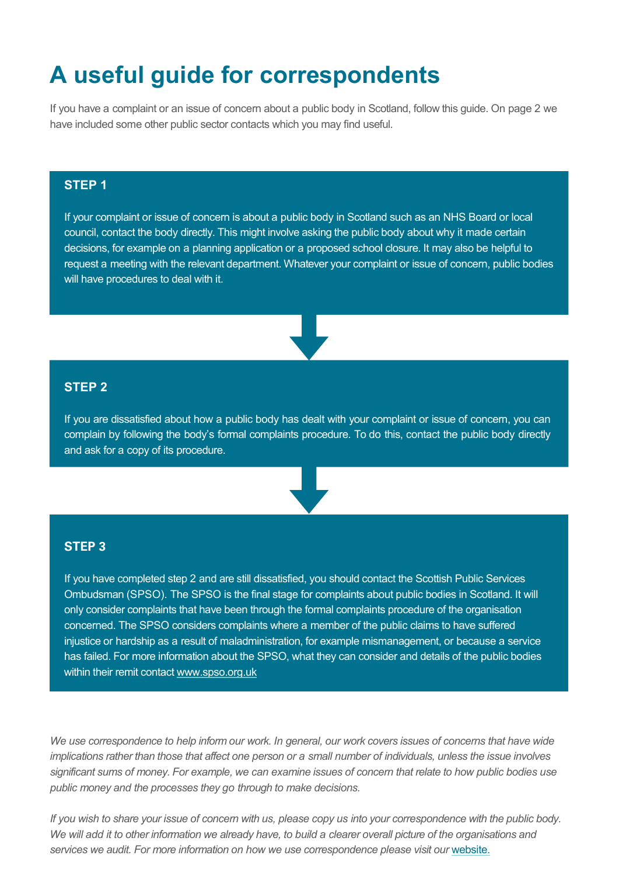# **A useful guide for correspondents**

If you have a complaint or an issue of concern about a public body in Scotland, follow this guide. On page 2 we have included some other public sector contacts which you may find useful.

### **STEP 1**

If your complaint or issue of concern is about a public body in Scotland such as an NHS Board or local council, contact the body directly. This might involve asking the public body about why it made certain decisions, for example on a planning application or a proposed school closure. It may also be helpful to request a meeting with the relevant department. Whatever your complaint or issue of concern, public bodies will have procedures to deal with it.

### **STEP 2**

If you are dissatisfied about how a public body has dealt with your complaint or issue of concern, you can complain by following the body's formal complaints procedure. To do this, contact the public body directly and ask for a copy of its procedure.



#### **STEP 3**

If you have completed step 2 and are still dissatisfied, you should contact the Scottish Public Services Ombudsman (SPSO). The SPSO is the final stage for complaints about public bodies in Scotland. It will only consider complaints that have been through the formal complaints procedure of the organisation concerned. The SPSO considers complaints where a member of the public claims to have suffered injustice or hardship as a result of maladministration, for example mismanagement, or because a service has failed. For more information about the SPSO, what they can consider and details of the public bodies within their remit contact [www.spso.org.uk](http://www.spso.org.uk/)

*We use correspondence to help inform our work. In general, our work covers issues of concerns that have wide implications rather than those that affect one person or a small number of individuals, unless the issue involves significant sums of money. For example, we can examine issues of concern that relate to how public bodies use public money and the processes they go through to make decisions.*

*If you wish to share your issue of concern with us, please copy us into your correspondence with the public body. We will add it to other information we already have, to build a clearer overall picture of the organisations and*  services we audit. For more information on how we use correspondence please visit our [website.](http://www.audit-scotland.gov.uk/)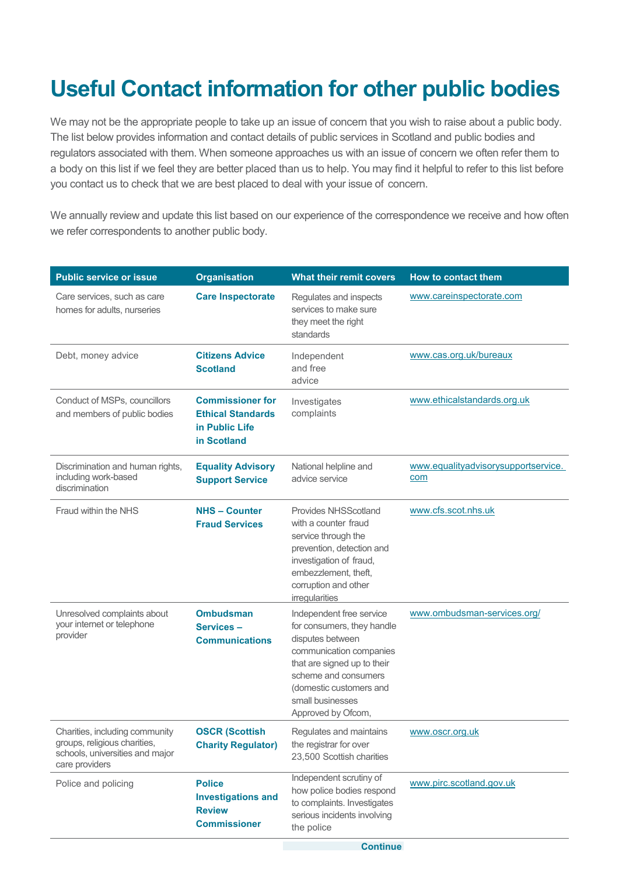# **Useful Contact information for other public bodies**

We may not be the appropriate people to take up an issue of concern that you wish to raise about a public body. The list below provides information and contact details of public services in Scotland and public bodies and regulators associated with them. When someone approaches us with an issue of concern we often refer them to a body on this list if we feel they are better placed than us to help. You may find it helpful to refer to this list before you contact us to check that we are best placed to deal with your issue of concern.

We annually review and update this list based on our experience of the correspondence we receive and how often we refer correspondents to another public body.

| <b>Public service or issue</b>                                                                                      | <b>Organisation</b>                                                                  | <b>What their remit covers</b>                                                                                                                                                                                                    | How to contact them                               |  |
|---------------------------------------------------------------------------------------------------------------------|--------------------------------------------------------------------------------------|-----------------------------------------------------------------------------------------------------------------------------------------------------------------------------------------------------------------------------------|---------------------------------------------------|--|
| Care services, such as care<br>homes for adults, nurseries                                                          | <b>Care Inspectorate</b>                                                             | Regulates and inspects<br>services to make sure<br>they meet the right<br>standards                                                                                                                                               | www.careinspectorate.com                          |  |
| Debt, money advice                                                                                                  | <b>Citizens Advice</b><br><b>Scotland</b>                                            | Independent<br>and free<br>advice                                                                                                                                                                                                 | www.cas.org.uk/bureaux                            |  |
| Conduct of MSPs, councillors<br>and members of public bodies                                                        | <b>Commissioner for</b><br><b>Ethical Standards</b><br>in Public Life<br>in Scotland | Investigates<br>complaints                                                                                                                                                                                                        | www.ethicalstandards.org.uk                       |  |
| Discrimination and human rights,<br>including work-based<br>discrimination                                          | <b>Equality Advisory</b><br><b>Support Service</b>                                   | National helpline and<br>advice service                                                                                                                                                                                           | www.equalityadvisorysupportservice.<br><u>com</u> |  |
| Fraud within the NHS                                                                                                | <b>NHS-Counter</b><br><b>Fraud Services</b>                                          | <b>Provides NHSScotland</b><br>with a counter fraud<br>service through the<br>prevention, detection and<br>investigation of fraud,<br>embezzlement, theft,<br>corruption and other<br>irregularities                              | www.cfs.scot.nhs.uk                               |  |
| Unresolved complaints about<br>your internet or telephone<br>provider                                               | <b>Ombudsman</b><br>Services-<br><b>Communications</b>                               | Independent free service<br>for consumers, they handle<br>disputes between<br>communication companies<br>that are signed up to their<br>scheme and consumers<br>(domestic customers and<br>small businesses<br>Approved by Ofcom, | www.ombudsman-services.org/                       |  |
| Charities, including community<br>groups, religious charities,<br>schools, universities and major<br>care providers | <b>OSCR (Scottish</b><br><b>Charity Regulator)</b>                                   | Regulates and maintains<br>the registrar for over<br>23,500 Scottish charities                                                                                                                                                    | www.oscr.org.uk                                   |  |
| Police and policing                                                                                                 | <b>Police</b><br><b>Investigations and</b><br><b>Review</b><br><b>Commissioner</b>   | Independent scrutiny of<br>how police bodies respond<br>to complaints. Investigates<br>serious incidents involving<br>the police                                                                                                  | www.pirc.scotland.gov.uk                          |  |
|                                                                                                                     |                                                                                      | <b>Continue</b>                                                                                                                                                                                                                   |                                                   |  |